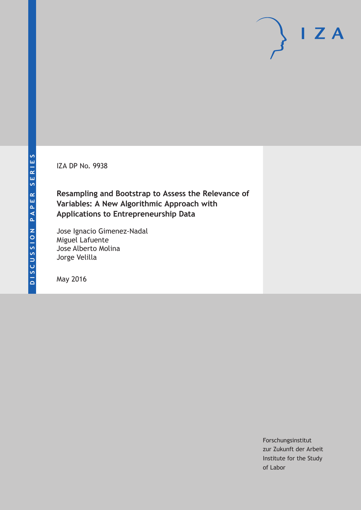IZA DP No. 9938

# **Resampling and Bootstrap to Assess the Relevance of Variables: A New Algorithmic Approach with Applications to Entrepreneurship Data**

Jose Ignacio Gimenez-Nadal Miguel Lafuente Jose Alberto Molina Jorge Velilla

May 2016

Forschungsinstitut zur Zukunft der Arbeit Institute for the Study of Labor

 $I Z A$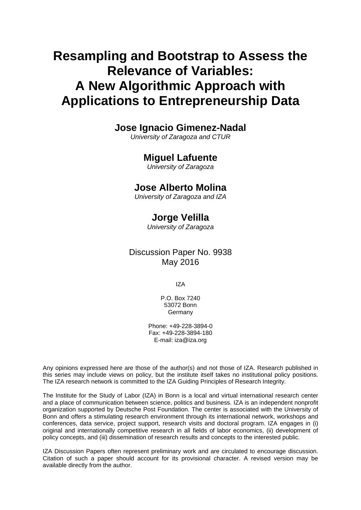# **Resampling and Bootstrap to Assess the Relevance of Variables: A New Algorithmic Approach with Applications to Entrepreneurship Data**

### **Jose Ignacio Gimenez-Nadal**

*University of Zaragoza and CTUR* 

### **Miguel Lafuente**

*University of Zaragoza* 

### **Jose Alberto Molina**

*University of Zaragoza and IZA*

# **Jorge Velilla**

*University of Zaragoza* 

Discussion Paper No. 9938 May 2016

IZA

P.O. Box 7240 53072 Bonn **Germany** 

Phone: +49-228-3894-0 Fax: +49-228-3894-180 E-mail: iza@iza.org

Any opinions expressed here are those of the author(s) and not those of IZA. Research published in this series may include views on policy, but the institute itself takes no institutional policy positions. The IZA research network is committed to the IZA Guiding Principles of Research Integrity.

The Institute for the Study of Labor (IZA) in Bonn is a local and virtual international research center and a place of communication between science, politics and business. IZA is an independent nonprofit organization supported by Deutsche Post Foundation. The center is associated with the University of Bonn and offers a stimulating research environment through its international network, workshops and conferences, data service, project support, research visits and doctoral program. IZA engages in (i) original and internationally competitive research in all fields of labor economics, (ii) development of policy concepts, and (iii) dissemination of research results and concepts to the interested public.

IZA Discussion Papers often represent preliminary work and are circulated to encourage discussion. Citation of such a paper should account for its provisional character. A revised version may be available directly from the author.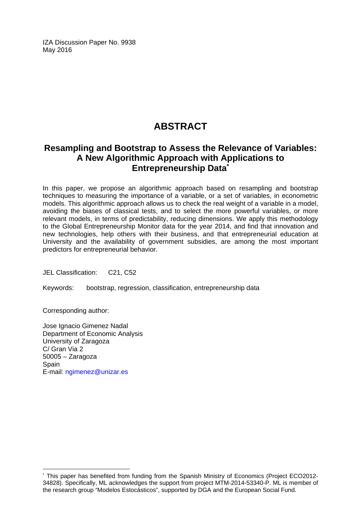IZA Discussion Paper No. 9938 May 2016

# **ABSTRACT**

## **Resampling and Bootstrap to Assess the Relevance of Variables: A New Algorithmic Approach with Applications to Entrepreneurship Data\***

In this paper, we propose an algorithmic approach based on resampling and bootstrap techniques to measuring the importance of a variable, or a set of variables, in econometric models. This algorithmic approach allows us to check the real weight of a variable in a model, avoiding the biases of classical tests, and to select the more powerful variables, or more relevant models, in terms of predictability, reducing dimensions. We apply this methodology to the Global Entrepreneurship Monitor data for the year 2014, and find that innovation and new technologies, help others with their business, and that entrepreneurial education at University and the availability of government subsidies, are among the most important predictors for entrepreneurial behavior.

JEL Classification: C21, C52

Keywords: bootstrap, regression, classification, entrepreneurship data

Corresponding author:

 $\overline{a}$ 

Jose Ignacio Gimenez Nadal Department of Economic Analysis University of Zaragoza C/ Gran Via 2 50005 – Zaragoza **Spain** E-mail: ngimenez@unizar.es

<sup>\*</sup> This paper has benefited from funding from the Spanish Ministry of Economics (Project ECO2012- 34828). Specifically, ML acknowledges the support from project MTM-2014-53340-P. ML is member of the research group "Modelos Estocásticos", supported by DGA and the European Social Fund.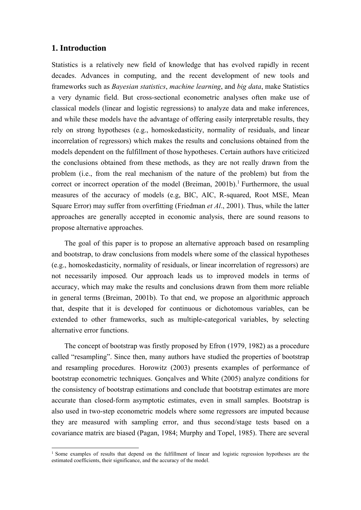### **1. Introduction**

1

Statistics is a relatively new field of knowledge that has evolved rapidly in recent decades. Advances in computing, and the recent development of new tools and frameworks such as *Bayesian statistics*, *machine learning*, and *big data*, make Statistics a very dynamic field. But cross-sectional econometric analyses often make use of classical models (linear and logistic regressions) to analyze data and make inferences, and while these models have the advantage of offering easily interpretable results, they rely on strong hypotheses (e.g., homoskedasticity, normality of residuals, and linear incorrelation of regressors) which makes the results and conclusions obtained from the models dependent on the fulfillment of those hypotheses. Certain authors have criticized the conclusions obtained from these methods, as they are not really drawn from the problem (i.e., from the real mechanism of the nature of the problem) but from the correct or incorrect operation of the model (Breiman, 2001b).<sup>1</sup> Furthermore, the usual measures of the accuracy of models (e.g, BIC, AIC, R-squared, Root MSE, Mean Square Error) may suffer from overfitting (Friedman *et Al*., 2001). Thus, while the latter approaches are generally accepted in economic analysis, there are sound reasons to propose alternative approaches.

The goal of this paper is to propose an alternative approach based on resampling and bootstrap, to draw conclusions from models where some of the classical hypotheses (e.g., homoskedasticity, normality of residuals, or linear incorrelation of regressors) are not necessarily imposed. Our approach leads us to improved models in terms of accuracy, which may make the results and conclusions drawn from them more reliable in general terms (Breiman, 2001b). To that end, we propose an algorithmic approach that, despite that it is developed for continuous or dichotomous variables, can be extended to other frameworks, such as multiple-categorical variables, by selecting alternative error functions.

The concept of bootstrap was firstly proposed by Efron (1979, 1982) as a procedure called "resampling". Since then, many authors have studied the properties of bootstrap and resampling procedures. Horowitz (2003) presents examples of performance of bootstrap econometric techniques. Gonçalves and White (2005) analyze conditions for the consistency of bootstrap estimations and conclude that bootstrap estimates are more accurate than closed-form asymptotic estimates, even in small samples. Bootstrap is also used in two-step econometric models where some regressors are imputed because they are measured with sampling error, and thus second/stage tests based on a covariance matrix are biased (Pagan, 1984; Murphy and Topel, 1985). There are several

<sup>&</sup>lt;sup>1</sup> Some examples of results that depend on the fulfillment of linear and logistic regression hypotheses are the estimated coefficients, their significance, and the accuracy of the model.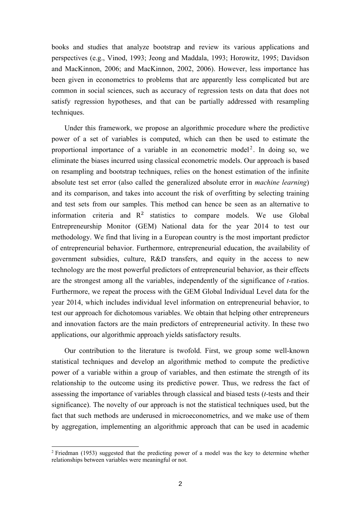books and studies that analyze bootstrap and review its various applications and perspectives (e.g., Vinod, 1993; Jeong and Maddala, 1993; Horowitz, 1995; Davidson and MacKinnon, 2006; and MacKinnon, 2002, 2006). However, less importance has been given in econometrics to problems that are apparently less complicated but are common in social sciences, such as accuracy of regression tests on data that does not satisfy regression hypotheses, and that can be partially addressed with resampling techniques.

Under this framework, we propose an algorithmic procedure where the predictive power of a set of variables is computed, which can then be used to estimate the proportional importance of a variable in an econometric model<sup>2</sup>. In doing so, we eliminate the biases incurred using classical econometric models. Our approach is based on resampling and bootstrap techniques, relies on the honest estimation of the infinite absolute test set error (also called the generalized absolute error in *machine learning*) and its comparison, and takes into account the risk of overfitting by selecting training and test sets from our samples. This method can hence be seen as an alternative to information criteria and  $R<sup>2</sup>$  statistics to compare models. We use Global Entrepreneurship Monitor (GEM) National data for the year 2014 to test our methodology. We find that living in a European country is the most important predictor of entrepreneurial behavior. Furthermore, entrepreneurial education, the availability of government subsidies, culture, R&D transfers, and equity in the access to new technology are the most powerful predictors of entrepreneurial behavior, as their effects are the strongest among all the variables, independently of the significance of *t*-ratios. Furthermore, we repeat the process with the GEM Global Individual Level data for the year 2014, which includes individual level information on entrepreneurial behavior, to test our approach for dichotomous variables. We obtain that helping other entrepreneurs and innovation factors are the main predictors of entrepreneurial activity. In these two applications, our algorithmic approach yields satisfactory results.

Our contribution to the literature is twofold. First, we group some well-known statistical techniques and develop an algorithmic method to compute the predictive power of a variable within a group of variables, and then estimate the strength of its relationship to the outcome using its predictive power. Thus, we redress the fact of assessing the importance of variables through classical and biased tests (*t-*tests and their significance). The novelty of our approach is not the statistical techniques used, but the fact that such methods are underused in microeconometrics, and we make use of them by aggregation, implementing an algorithmic approach that can be used in academic

1

<sup>&</sup>lt;sup>2</sup> Friedman (1953) suggested that the predicting power of a model was the key to determine whether relationships between variables were meaningful or not.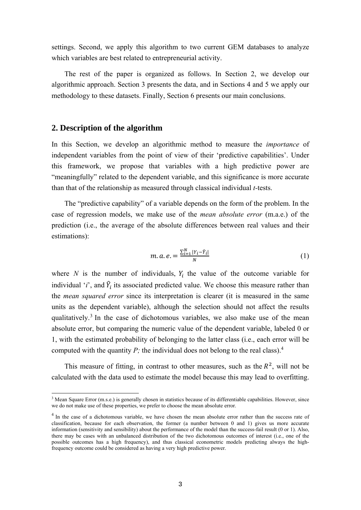settings. Second, we apply this algorithm to two current GEM databases to analyze which variables are best related to entrepreneurial activity.

The rest of the paper is organized as follows. In Section 2, we develop our algorithmic approach. Section 3 presents the data, and in Sections 4 and 5 we apply our methodology to these datasets. Finally, Section 6 presents our main conclusions.

#### **2. Description of the algorithm**

-

In this Section, we develop an algorithmic method to measure the *importance* of independent variables from the point of view of their 'predictive capabilities'. Under this framework, we propose that variables with a high predictive power are "meaningfully" related to the dependent variable, and this significance is more accurate than that of the relationship as measured through classical individual *t-*tests.

The "predictive capability" of a variable depends on the form of the problem. In the case of regression models, we make use of the *mean absolute error* (m.a.e.) of the prediction (i.e., the average of the absolute differences between real values and their estimations):

$$
m. a. e. = \frac{\sum_{i=1}^{N} |Y_i - \hat{Y}_i|}{N}
$$
 (1)

where *N* is the number of individuals,  $Y_i$  the value of the outcome variable for individual '*i*', and  $\hat{Y}_i$  its associated predicted value. We choose this measure rather than the *mean squared error* since its interpretation is clearer (it is measured in the same units as the dependent variable), although the selection should not affect the results qualitatively.<sup>3</sup> In the case of dichotomous variables, we also make use of the mean absolute error, but comparing the numeric value of the dependent variable, labeled 0 or 1, with the estimated probability of belonging to the latter class (i.e., each error will be computed with the quantity *P*; the individual does not belong to the real class).<sup>4</sup>

This measure of fitting, in contrast to other measures, such as the  $R<sup>2</sup>$ , will not be calculated with the data used to estimate the model because this may lead to overfitting.

<sup>&</sup>lt;sup>3</sup> Mean Square Error (m.s.e.) is generally chosen in statistics because of its differentiable capabilities. However, since we do not make use of these properties, we prefer to choose the mean absolute error.

<sup>&</sup>lt;sup>4</sup> In the case of a dichotomous variable, we have chosen the mean absolute error rather than the success rate of classification, because for each observation, the former (a number between 0 and 1) gives us more accurate information (sensitivity and sensibility) about the performance of the model than the success-fail result (0 or 1). Also, there may be cases with an unbalanced distribution of the two dichotomous outcomes of interest (i.e., one of the possible outcomes has a high frequency), and thus classical econometric models predicting always the highfrequency outcome could be considered as having a very high predictive power.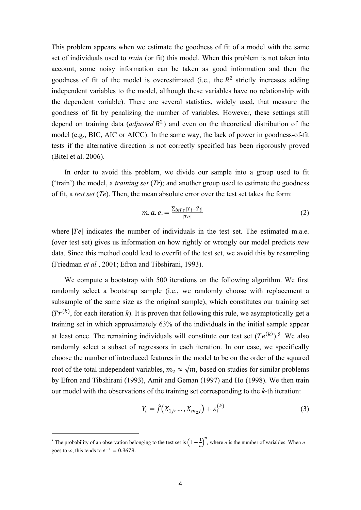This problem appears when we estimate the goodness of fit of a model with the same set of individuals used to *train* (or fit) this model. When this problem is not taken into account, some noisy information can be taken as good information and then the goodness of fit of the model is overestimated (i.e., the  $R<sup>2</sup>$  strictly increases adding independent variables to the model, although these variables have no relationship with the dependent variable). There are several statistics, widely used, that measure the goodness of fit by penalizing the number of variables. However, these settings still depend on training data (*adjusted*  $R^2$ ) and even on the theoretical distribution of the model (e.g., BIC, AIC or AICC). In the same way, the lack of power in goodness-of-fit tests if the alternative direction is not correctly specified has been rigorously proved (Bitel et al. 2006).

In order to avoid this problem, we divide our sample into a group used to fit ('train') the model, a *training set* (*Tr*); and another group used to estimate the goodness of fit, a *test set* (*Te*). Then, the mean absolute error over the test set takes the form:

$$
m. a. e. = \frac{\sum_{i \in T e} |Y_i - \hat{Y}_i|}{|T e|} \tag{2}
$$

where  $|Te|$  indicates the number of individuals in the test set. The estimated m.a.e. (over test set) gives us information on how rightly or wrongly our model predicts *new*  data. Since this method could lead to overfit of the test set, we avoid this by resampling (Friedman *et al.*, 2001; Efron and Tibshirani, 1993).

We compute a bootstrap with 500 iterations on the following algorithm. We first randomly select a bootstrap sample (i.e., we randomly choose with replacement a subsample of the same size as the original sample), which constitutes our training set  $(Tr^{(k)}$ , for each iteration *k*). It is proven that following this rule, we asymptotically get a training set in which approximately 63% of the individuals in the initial sample appear at least once. The remaining individuals will constitute our test set  $(Te^{(k)})$ .<sup>5</sup> We also randomly select a subset of regressors in each iteration. In our case, we specifically choose the number of introduced features in the model to be on the order of the squared root of the total independent variables,  $m_2 \approx \sqrt{m}$ , based on studies for similar problems by Efron and Tibshirani (1993), Amit and Geman (1997) and Ho (1998). We then train our model with the observations of the training set corresponding to the *k*-th iteration:

$$
Y_i = \hat{f}(X_{1j}, ..., X_{m_2j}) + \varepsilon_i^{(k)}
$$
 (3)

1

<sup>&</sup>lt;sup>5</sup> The probability of an observation belonging to the test set is  $\left(1 - \frac{1}{n}\right)^n$ , where *n* is the number of variables. When *n* goes to  $\infty$ , this tends to  $e^{-1} = 0.3678$ .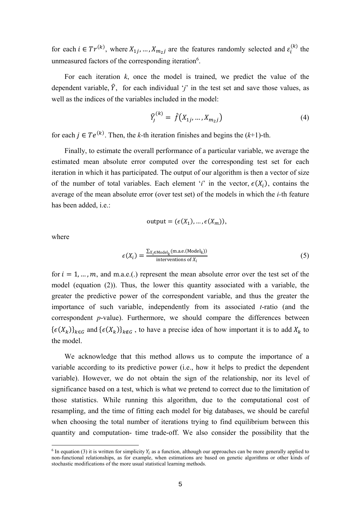for each  $i \in Tr^{(k)}$ , where  $X_{1j}, ..., X_{m_2j}$  are the features randomly selected and  $\varepsilon_i^{(k)}$  the unmeasured factors of the corresponding iteration<sup>6</sup>.

For each iteration *k*, once the model is trained, we predict the value of the dependent variable,  $\hat{Y}$ , for each individual '*j*' in the test set and save those values, as well as the indices of the variables included in the model:

$$
\widehat{Y}_j^{(k)} = \widehat{f}(X_{1j}, \dots, X_{m_2j})
$$
\n(4)

for each  $j \in Te^{(k)}$ . Then, the *k*-th iteration finishes and begins the  $(k+1)$ -th.

Finally, to estimate the overall performance of a particular variable, we average the estimated mean absolute error computed over the corresponding test set for each iteration in which it has participated. The output of our algorithm is then a vector of size of the number of total variables. Each element '*i*' in the vector,  $\epsilon(X_i)$ , contains the average of the mean absolute error (over test set) of the models in which the *i-*th feature has been added, i.e.:

output = 
$$
(\epsilon(X_1), \ldots, \epsilon(X_m)),
$$

where

1

$$
\epsilon(X_i) = \frac{\sum_{X_i \in \text{Model}_k} (\text{m.a.e.}(\text{Model}_k))}{\text{interventions of } X_i}
$$
(5)

for  $i = 1, ..., m$ , and m.a.e.(.) represent the mean absolute error over the test set of the model (equation (2)). Thus, the lower this quantity associated with a variable, the greater the predictive power of the correspondent variable, and thus the greater the importance of such variable, independently from its associated *t*-ratio (and the correspondent *p*-value). Furthermore, we should compare the differences between  $\{\epsilon(X_k)\}_{k \in G}$  and  $\{\epsilon(X_k)\}_{k \notin G}$ , to have a precise idea of how important it is to add  $X_k$  to the model.

We acknowledge that this method allows us to compute the importance of a variable according to its predictive power (i.e., how it helps to predict the dependent variable). However, we do not obtain the sign of the relationship, nor its level of significance based on a test, which is what we pretend to correct due to the limitation of those statistics. While running this algorithm, due to the computational cost of resampling, and the time of fitting each model for big databases, we should be careful when choosing the total number of iterations trying to find equilibrium between this quantity and computation- time trade-off. We also consider the possibility that the

 $6$  In equation (3) it is written for simplicity  $Y_i$  as a function, although our approaches can be more generally applied to non-functional relationships, as for example, when estimations are based on genetic algorithms or other kinds of stochastic modifications of the more usual statistical learning methods.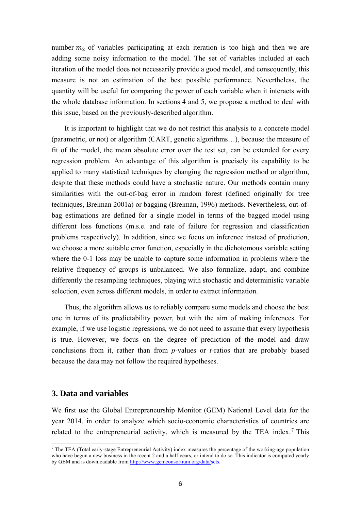number  $m_2$  of variables participating at each iteration is too high and then we are adding some noisy information to the model. The set of variables included at each iteration of the model does not necessarily provide a good model, and consequently, this measure is not an estimation of the best possible performance. Nevertheless, the quantity will be useful for comparing the power of each variable when it interacts with the whole database information. In sections 4 and 5, we propose a method to deal with this issue, based on the previously-described algorithm.

It is important to highlight that we do not restrict this analysis to a concrete model (parametric, or not) or algorithm (CART, genetic algorithms…), because the measure of fit of the model, the mean absolute error over the test set, can be extended for every regression problem. An advantage of this algorithm is precisely its capability to be applied to many statistical techniques by changing the regression method or algorithm, despite that these methods could have a stochastic nature. Our methods contain many similarities with the out-of-bag error in random forest (defined originally for tree techniques, Breiman 2001a) or bagging (Breiman, 1996) methods. Nevertheless, out-ofbag estimations are defined for a single model in terms of the bagged model using different loss functions (m.s.e. and rate of failure for regression and classification problems respectively). In addition, since we focus on inference instead of prediction, we choose a more suitable error function, especially in the dichotomous variable setting where the 0-1 loss may be unable to capture some information in problems where the relative frequency of groups is unbalanced. We also formalize, adapt, and combine differently the resampling techniques, playing with stochastic and deterministic variable selection, even across different models, in order to extract information.

Thus, the algorithm allows us to reliably compare some models and choose the best one in terms of its predictability power, but with the aim of making inferences. For example, if we use logistic regressions, we do not need to assume that every hypothesis is true. However, we focus on the degree of prediction of the model and draw conclusions from it, rather than from *p*-values or *t-*ratios that are probably biased because the data may not follow the required hypotheses.

#### **3. Data and variables**

-

We first use the Global Entrepreneurship Monitor (GEM) National Level data for the year 2014, in order to analyze which socio-economic characteristics of countries are related to the entrepreneurial activity, which is measured by the TEA index.<sup>7</sup> This

 $^7$  The TEA (Total early-stage Entrepreneurial Activity) index measures the percentage of the working-age population who have begun a new business in the recent 2 and a half years, or intend to do so. This indicator is computed yearly by GEM and is downloadable from http://www.gemconsortium.org/data/sets.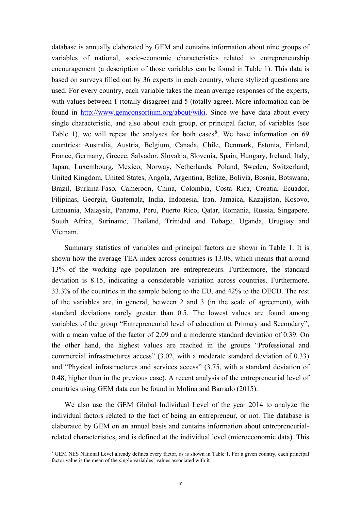database is annually elaborated by GEM and contains information about nine groups of variables of national, socio-economic characteristics related to entrepreneurship encouragement (a description of those variables can be found in Table 1). This data is based on surveys filled out by 36 experts in each country, where stylized questions are used. For every country, each variable takes the mean average responses of the experts, with values between 1 (totally disagree) and 5 (totally agree). More information can be found in http://www.gemconsortium.org/about/wiki. Since we have data about every single characteristic, and also about each group, or principal factor, of variables (see Table 1), we will repeat the analyses for both cases<sup>8</sup>. We have information on 69 countries: Australia, Austria, Belgium, Canada, Chile, Denmark, Estonia, Finland, France, Germany, Greece, Salvador, Slovakia, Slovenia, Spain, Hungary, Ireland, Italy, Japan, Luxembourg, Mexico, Norway, Netherlands, Poland, Sweden, Switzerland, United Kingdom, United States, Angola, Argentina, Belize, Bolivia, Bosnia, Botswana, Brazil, Burkina-Faso, Cameroon, China, Colombia, Costa Rica, Croatia, Ecuador, Filipinas, Georgia, Guatemala, India, Indonesia, Iran, Jamaica, Kazajistan, Kosovo, Lithuania, Malaysia, Panama, Peru, Puerto Rico, Qatar, Romania, Russia, Singapore, South Africa, Suriname, Thailand, Trinidad and Tobago, Uganda, Uruguay and Vietnam.

Summary statistics of variables and principal factors are shown in Table 1. It is shown how the average TEA index across countries is 13.08, which means that around 13% of the working age population are entrepreneurs. Furthermore, the standard deviation is 8.15, indicating a considerable variation across countries. Furthermore, 33.3% of the countries in the sample belong to the EU, and 42% to the OECD. The rest of the variables are, in general, between 2 and 3 (in the scale of agreement), with standard deviations rarely greater than 0.5. The lowest values are found among variables of the group "Entrepreneurial level of education at Primary and Secondary", with a mean value of the factor of 2.09 and a moderate standard deviation of 0.39. On the other hand, the highest values are reached in the groups "Professional and commercial infrastructures access" (3.02, with a moderate standard deviation of 0.33) and "Physical infrastructures and services access" (3.75, with a standard deviation of 0.48, higher than in the previous case). A recent analysis of the entrepreneurial level of countries using GEM data can be found in Molina and Barrado (2015).

We also use the GEM Global Individual Level of the year 2014 to analyze the individual factors related to the fact of being an entrepreneur, or not. The database is elaborated by GEM on an annual basis and contains information about entrepreneurialrelated characteristics, and is defined at the individual level (microeconomic data). This

1

<sup>8</sup> GEM NES National Level already defines every factor, as is shown in Table 1. For a given country, each principal factor value is the mean of the single variables' values associated with it.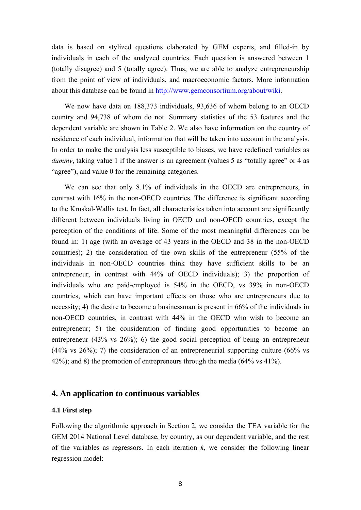data is based on stylized questions elaborated by GEM experts, and filled-in by individuals in each of the analyzed countries. Each question is answered between 1 (totally disagree) and 5 (totally agree). Thus, we are able to analyze entrepreneurship from the point of view of individuals, and macroeconomic factors. More information about this database can be found in http://www.gemconsortium.org/about/wiki.

We now have data on 188,373 individuals, 93,636 of whom belong to an OECD country and 94,738 of whom do not. Summary statistics of the 53 features and the dependent variable are shown in Table 2. We also have information on the country of residence of each individual, information that will be taken into account in the analysis. In order to make the analysis less susceptible to biases, we have redefined variables as *dummy*, taking value 1 if the answer is an agreement (values 5 as "totally agree" or 4 as "agree"), and value 0 for the remaining categories.

We can see that only 8.1% of individuals in the OECD are entrepreneurs, in contrast with 16% in the non-OECD countries. The difference is significant according to the Kruskal-Wallis test. In fact, all characteristics taken into account are significantly different between individuals living in OECD and non-OECD countries, except the perception of the conditions of life. Some of the most meaningful differences can be found in: 1) age (with an average of 43 years in the OECD and 38 in the non-OECD countries); 2) the consideration of the own skills of the entrepreneur (55% of the individuals in non-OECD countries think they have sufficient skills to be an entrepreneur, in contrast with 44% of OECD individuals); 3) the proportion of individuals who are paid-employed is 54% in the OECD, vs 39% in non-OECD countries, which can have important effects on those who are entrepreneurs due to necessity; 4) the desire to become a businessman is present in 66% of the individuals in non-OECD countries, in contrast with 44% in the OECD who wish to become an entrepreneur; 5) the consideration of finding good opportunities to become an entrepreneur (43% vs 26%); 6) the good social perception of being an entrepreneur  $(44\% \text{ vs } 26\%)$ ; 7) the consideration of an entrepreneurial supporting culture  $(66\% \text{ vs } 26\%)$ 42%); and 8) the promotion of entrepreneurs through the media (64% vs 41%).

### **4. An application to continuous variables**

### **4.1 First step**

Following the algorithmic approach in Section 2, we consider the TEA variable for the GEM 2014 National Level database, by country, as our dependent variable, and the rest of the variables as regressors. In each iteration  $k$ , we consider the following linear regression model: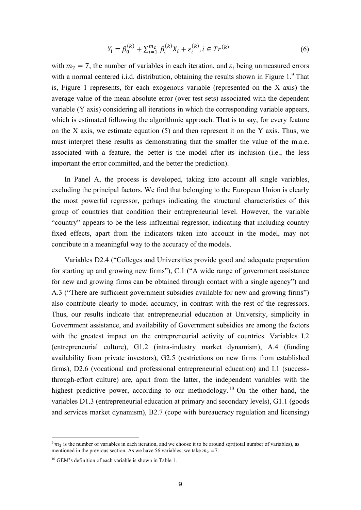$$
Y_i = \beta_0^{(k)} + \sum_{i=1}^{m_2} \beta_i^{(k)} X_i + \varepsilon_i^{(k)}, i \in Tr^{(k)}
$$
(6)

with  $m_2 = 7$ , the number of variables in each iteration, and  $\varepsilon_i$  being unmeasured errors with a normal centered i.i.d. distribution, obtaining the results shown in Figure  $1<sup>9</sup>$  That is, Figure 1 represents, for each exogenous variable (represented on the X axis) the average value of the mean absolute error (over test sets) associated with the dependent variable (Y axis) considering all iterations in which the corresponding variable appears, which is estimated following the algorithmic approach. That is to say, for every feature on the X axis, we estimate equation (5) and then represent it on the Y axis. Thus, we must interpret these results as demonstrating that the smaller the value of the m.a.e. associated with a feature, the better is the model after its inclusion (i.e., the less important the error committed, and the better the prediction).

In Panel A, the process is developed, taking into account all single variables, excluding the principal factors. We find that belonging to the European Union is clearly the most powerful regressor, perhaps indicating the structural characteristics of this group of countries that condition their entrepreneurial level. However, the variable "country" appears to be the less influential regressor, indicating that including country fixed effects, apart from the indicators taken into account in the model, may not contribute in a meaningful way to the accuracy of the models.

Variables D2.4 ("Colleges and Universities provide good and adequate preparation for starting up and growing new firms"), C.1 ("A wide range of government assistance for new and growing firms can be obtained through contact with a single agency") and A.3 ("There are sufficient government subsidies available for new and growing firms") also contribute clearly to model accuracy, in contrast with the rest of the regressors. Thus, our results indicate that entrepreneurial education at University, simplicity in Government assistance, and availability of Government subsidies are among the factors with the greatest impact on the entrepreneurial activity of countries. Variables I.2 (entrepreneurial culture), G1.2 (intra-industry market dynamism), A.4 (funding availability from private investors), G2.5 (restrictions on new firms from established firms), D2.6 (vocational and professional entrepreneurial education) and I.1 (successthrough-effort culture) are, apart from the latter, the independent variables with the highest predictive power, according to our methodology.<sup>10</sup> On the other hand, the variables D1.3 (entrepreneurial education at primary and secondary levels), G1.1 (goods and services market dynamism), B2.7 (cope with bureaucracy regulation and licensing)

-

 $9 m<sub>2</sub>$  is the number of variables in each iteration, and we choose it to be around sqrt(total number of variables), as mentioned in the previous section. As we have 56 variables, we take  $m_2 = 7$ .

<sup>10</sup> GEM's definition of each variable is shown in Table 1.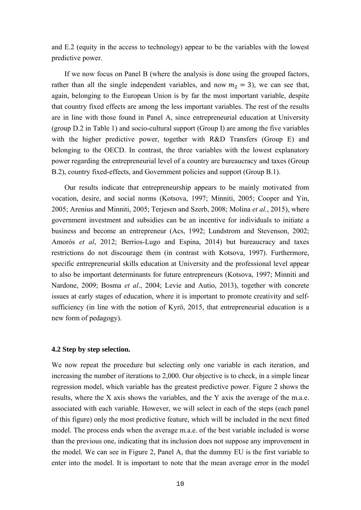and E.2 (equity in the access to technology) appear to be the variables with the lowest predictive power.

If we now focus on Panel B (where the analysis is done using the grouped factors, rather than all the single independent variables, and now  $m_2 = 3$ ), we can see that, again, belonging to the European Union is by far the most important variable, despite that country fixed effects are among the less important variables. The rest of the results are in line with those found in Panel A, since entrepreneurial education at University (group D.2 in Table 1) and socio-cultural support (Group I) are among the five variables with the higher predictive power, together with R&D Transfers (Group E) and belonging to the OECD. In contrast, the three variables with the lowest explanatory power regarding the entrepreneurial level of a country are bureaucracy and taxes (Group B.2), country fixed-effects, and Government policies and support (Group B.1).

Our results indicate that entrepreneurship appears to be mainly motivated from vocation, desire, and social norms (Kotsova, 1997; Minniti, 2005; Cooper and Yin, 2005; Arenius and Minniti, 2005; Terjesen and Szerb, 2008; Molina *et al.*, 2015), where government investment and subsidies can be an incentive for individuals to initiate a business and become an entrepreneur (Acs, 1992; Lundstrom and Stevenson, 2002; Amorós *et al*, 2012; Berrios-Lugo and Espina, 2014) but bureaucracy and taxes restrictions do not discourage them (in contrast with Kotsova, 1997). Furthermore, specific entrepreneurial skills education at University and the professional level appear to also be important determinants for future entrepreneurs (Kotsova, 1997; Minniti and Nardone, 2009; Bosma *et al*., 2004; Levie and Autio, 2013), together with concrete issues at early stages of education, where it is important to promote creativity and selfsufficiency (in line with the notion of Kyrö, 2015, that entrepreneurial education is a new form of pedagogy).

#### **4.2 Step by step selection.**

We now repeat the procedure but selecting only one variable in each iteration, and increasing the number of iterations to 2,000. Our objective is to check, in a simple linear regression model, which variable has the greatest predictive power. Figure 2 shows the results, where the X axis shows the variables, and the Y axis the average of the m.a.e. associated with each variable. However, we will select in each of the steps (each panel of this figure) only the most predictive feature, which will be included in the next fitted model. The process ends when the average m.a.e. of the best variable included is worse than the previous one, indicating that its inclusion does not suppose any improvement in the model. We can see in Figure 2, Panel A, that the dummy EU is the first variable to enter into the model. It is important to note that the mean average error in the model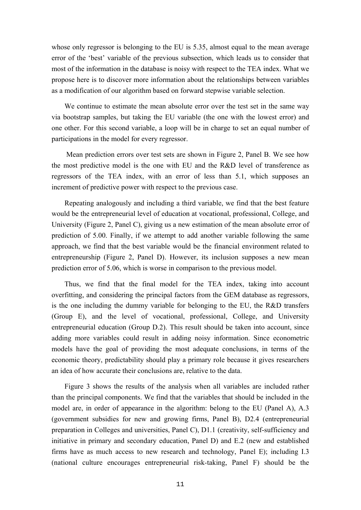whose only regressor is belonging to the EU is 5.35, almost equal to the mean average error of the 'best' variable of the previous subsection, which leads us to consider that most of the information in the database is noisy with respect to the TEA index. What we propose here is to discover more information about the relationships between variables as a modification of our algorithm based on forward stepwise variable selection.

We continue to estimate the mean absolute error over the test set in the same way via bootstrap samples, but taking the EU variable (the one with the lowest error) and one other. For this second variable, a loop will be in charge to set an equal number of participations in the model for every regressor.

 Mean prediction errors over test sets are shown in Figure 2, Panel B. We see how the most predictive model is the one with EU and the R&D level of transference as regressors of the TEA index, with an error of less than 5.1, which supposes an increment of predictive power with respect to the previous case.

Repeating analogously and including a third variable, we find that the best feature would be the entrepreneurial level of education at vocational, professional, College, and University (Figure 2, Panel C), giving us a new estimation of the mean absolute error of prediction of 5.00. Finally, if we attempt to add another variable following the same approach, we find that the best variable would be the financial environment related to entrepreneurship (Figure 2, Panel D). However, its inclusion supposes a new mean prediction error of 5.06, which is worse in comparison to the previous model.

Thus, we find that the final model for the TEA index, taking into account overfitting, and considering the principal factors from the GEM database as regressors, is the one including the dummy variable for belonging to the EU, the R&D transfers (Group E), and the level of vocational, professional, College, and University entrepreneurial education (Group D.2). This result should be taken into account, since adding more variables could result in adding noisy information. Since econometric models have the goal of providing the most adequate conclusions, in terms of the economic theory, predictability should play a primary role because it gives researchers an idea of how accurate their conclusions are, relative to the data.

Figure 3 shows the results of the analysis when all variables are included rather than the principal components. We find that the variables that should be included in the model are, in order of appearance in the algorithm: belong to the EU (Panel A), A.3 (government subsidies for new and growing firms, Panel B), D2.4 (entrepreneurial preparation in Colleges and universities, Panel C), D1.1 (creativity, self-sufficiency and initiative in primary and secondary education, Panel D) and E.2 (new and established firms have as much access to new research and technology, Panel E); including I.3 (national culture encourages entrepreneurial risk*-*taking, Panel F) should be the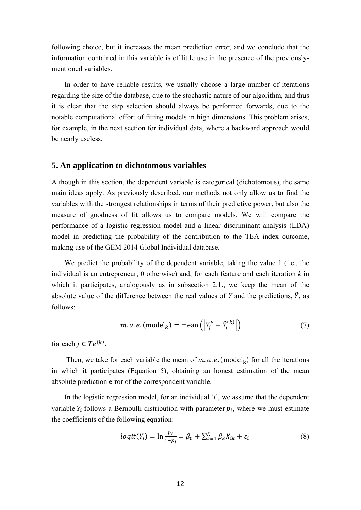following choice, but it increases the mean prediction error, and we conclude that the information contained in this variable is of little use in the presence of the previouslymentioned variables.

In order to have reliable results, we usually choose a large number of iterations regarding the size of the database, due to the stochastic nature of our algorithm, and thus it is clear that the step selection should always be performed forwards, due to the notable computational effort of fitting models in high dimensions. This problem arises, for example, in the next section for individual data, where a backward approach would be nearly useless.

### **5. An application to dichotomous variables**

Although in this section, the dependent variable is categorical (dichotomous), the same main ideas apply. As previously described, our methods not only allow us to find the variables with the strongest relationships in terms of their predictive power, but also the measure of goodness of fit allows us to compare models. We will compare the performance of a logistic regression model and a linear discriminant analysis (LDA) model in predicting the probability of the contribution to the TEA index outcome, making use of the GEM 2014 Global Individual database.

We predict the probability of the dependent variable, taking the value 1 (i.e., the individual is an entrepreneur, 0 otherwise) and, for each feature and each iteration *k* in which it participates, analogously as in subsection 2.1., we keep the mean of the absolute value of the difference between the real values of *Y* and the predictions,  $\hat{Y}$ , as follows:

$$
m. a. e. \text{(model}_k) = \text{mean}\left(\left|Y_j^k - \hat{Y}_j^{(k)}\right|\right) \tag{7}
$$

for each  $j \in Te^{(k)}$ .

Then, we take for each variable the mean of m. a. e. (model<sub>k</sub>) for all the iterations in which it participates (Equation 5), obtaining an honest estimation of the mean absolute prediction error of the correspondent variable.

In the logistic regression model, for an individual '*i*', we assume that the dependent variable  $Y_i$  follows a Bernoulli distribution with parameter  $p_i$ , where we must estimate the coefficients of the following equation:

$$
logit(Y_i) = \ln \frac{p_i}{1 - p_i} = \beta_0 + \sum_{k=1}^{K} \beta_k X_{ik} + \varepsilon_i
$$
\n(8)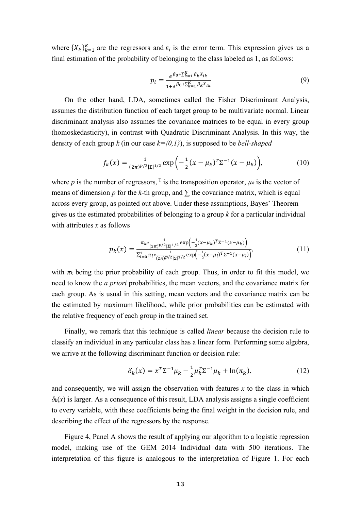where  $\{X_k\}_{k=1}^K$  are the regressors and  $\varepsilon_i$  is the error term. This expression gives us a final estimation of the probability of belonging to the class labeled as 1, as follows:

$$
p_i = \frac{e^{\beta_0 + \sum_{k=1}^K \beta_k X_{ik}}}{1 + e^{\beta_0 + \sum_{k=1}^K \beta_k X_{ik}}}
$$
(9)

On the other hand, LDA, sometimes called the Fisher Discriminant Analysis, assumes the distribution function of each target group to be multivariate normal. Linear discriminant analysis also assumes the covariance matrices to be equal in every group (homoskedasticity), in contrast with Quadratic Discriminant Analysis. In this way, the density of each group *k* (in our case *k={0,1}*), is supposed to be *bell-shaped*

$$
f_k(x) = \frac{1}{(2\pi)^{p/2} |\Sigma|^{1/2}} \exp\left(-\frac{1}{2}(x - \mu_k)^T \Sigma^{-1} (x - \mu_k)\right),\tag{10}
$$

where *p* is the number of regressors,  $\tau$  is the transposition operator,  $\mu_k$  is the vector of means of dimension *p* for the *k*-th group, and  $\Sigma$  the covariance matrix, which is equal across every group, as pointed out above. Under these assumptions, Bayes' Theorem gives us the estimated probabilities of belonging to a group *k* for a particular individual with attributes *x* as follows

$$
p_k(x) = \frac{\pi_k \cdot \frac{1}{(2\pi)^{p/2} |\Sigma|^{1/2}} \exp\left(-\frac{1}{2} (x - \mu_k)^T \Sigma^{-1} (x - \mu_k)\right)}{\Sigma_{l=0}^1 \pi_l \cdot \frac{1}{(2\pi)^{p/2} |\Sigma|^{1/2}} \exp\left(-\frac{1}{2} (x - \mu_l)^T \Sigma^{-1} (x - \mu_l)\right)},\tag{11}
$$

with  $\pi_k$  being the prior probability of each group. Thus, in order to fit this model, we need to know the *a priori* probabilities, the mean vectors, and the covariance matrix for each group. As is usual in this setting, mean vectors and the covariance matrix can be the estimated by maximum likelihood, while prior probabilities can be estimated with the relative frequency of each group in the trained set.

Finally, we remark that this technique is called *linear* because the decision rule to classify an individual in any particular class has a linear form. Performing some algebra, we arrive at the following discriminant function or decision rule:

$$
\delta_k(x) = x^T \Sigma^{-1} \mu_k - \frac{1}{2} \mu_k^T \Sigma^{-1} \mu_k + \ln(\pi_k), \tag{12}
$$

and consequently, we will assign the observation with features *x* to the class in which  $\delta_k(x)$  is larger. As a consequence of this result, LDA analysis assigns a single coefficient to every variable, with these coefficients being the final weight in the decision rule, and describing the effect of the regressors by the response.

Figure 4, Panel A shows the result of applying our algorithm to a logistic regression model, making use of the GEM 2014 Individual data with 500 iterations. The interpretation of this figure is analogous to the interpretation of Figure 1. For each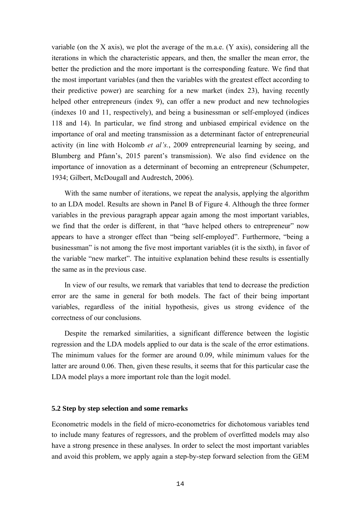variable (on the X axis), we plot the average of the m.a.e. (Y axis), considering all the iterations in which the characteristic appears, and then, the smaller the mean error, the better the prediction and the more important is the corresponding feature. We find that the most important variables (and then the variables with the greatest effect according to their predictive power) are searching for a new market (index 23), having recently helped other entrepreneurs (index 9), can offer a new product and new technologies (indexes 10 and 11, respectively), and being a businessman or self-employed (indices 118 and 14). In particular, we find strong and unbiased empirical evidence on the importance of oral and meeting transmission as a determinant factor of entrepreneurial activity (in line with Holcomb *et al's.*, 2009 entrepreneurial learning by seeing, and Blumberg and Pfann's, 2015 parent's transmission). We also find evidence on the importance of innovation as a determinant of becoming an entrepreneur (Schumpeter, 1934; Gilbert, McDougall and Audrestch, 2006).

With the same number of iterations, we repeat the analysis, applying the algorithm to an LDA model. Results are shown in Panel B of Figure 4. Although the three former variables in the previous paragraph appear again among the most important variables, we find that the order is different, in that "have helped others to entrepreneur" now appears to have a stronger effect than "being self-employed". Furthermore, "being a businessman" is not among the five most important variables (it is the sixth), in favor of the variable "new market". The intuitive explanation behind these results is essentially the same as in the previous case.

In view of our results, we remark that variables that tend to decrease the prediction error are the same in general for both models. The fact of their being important variables, regardless of the initial hypothesis, gives us strong evidence of the correctness of our conclusions.

Despite the remarked similarities, a significant difference between the logistic regression and the LDA models applied to our data is the scale of the error estimations. The minimum values for the former are around 0.09, while minimum values for the latter are around 0.06. Then, given these results, it seems that for this particular case the LDA model plays a more important role than the logit model.

#### **5.2 Step by step selection and some remarks**

Econometric models in the field of micro-econometrics for dichotomous variables tend to include many features of regressors, and the problem of overfitted models may also have a strong presence in these analyses. In order to select the most important variables and avoid this problem, we apply again a step-by-step forward selection from the GEM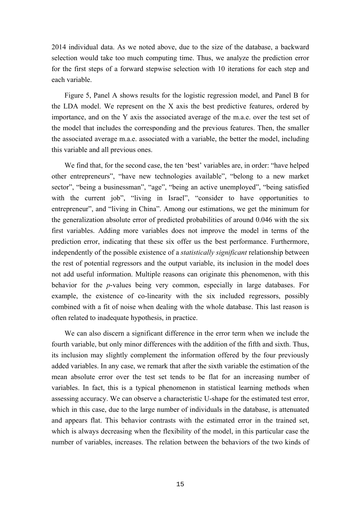2014 individual data. As we noted above, due to the size of the database, a backward selection would take too much computing time. Thus, we analyze the prediction error for the first steps of a forward stepwise selection with 10 iterations for each step and each variable.

Figure 5, Panel A shows results for the logistic regression model, and Panel B for the LDA model. We represent on the X axis the best predictive features, ordered by importance, and on the Y axis the associated average of the m.a.e. over the test set of the model that includes the corresponding and the previous features. Then, the smaller the associated average m.a.e. associated with a variable, the better the model, including this variable and all previous ones.

We find that, for the second case, the ten 'best' variables are, in order: "have helped other entrepreneurs", "have new technologies available", "belong to a new market sector", "being a businessman", "age", "being an active unemployed", "being satisfied with the current job", "living in Israel", "consider to have opportunities to entrepreneur", and "living in China". Among our estimations, we get the minimum for the generalization absolute error of predicted probabilities of around 0.046 with the six first variables. Adding more variables does not improve the model in terms of the prediction error, indicating that these six offer us the best performance. Furthermore, independently of the possible existence of a *statistically significant* relationship between the rest of potential regressors and the output variable, its inclusion in the model does not add useful information. Multiple reasons can originate this phenomenon, with this behavior for the *p*-values being very common, especially in large databases. For example, the existence of co-linearity with the six included regressors, possibly combined with a fit of noise when dealing with the whole database. This last reason is often related to inadequate hypothesis, in practice.

We can also discern a significant difference in the error term when we include the fourth variable, but only minor differences with the addition of the fifth and sixth. Thus, its inclusion may slightly complement the information offered by the four previously added variables. In any case, we remark that after the sixth variable the estimation of the mean absolute error over the test set tends to be flat for an increasing number of variables. In fact, this is a typical phenomenon in statistical learning methods when assessing accuracy. We can observe a characteristic U-shape for the estimated test error, which in this case, due to the large number of individuals in the database, is attenuated and appears flat. This behavior contrasts with the estimated error in the trained set, which is always decreasing when the flexibility of the model, in this particular case the number of variables, increases. The relation between the behaviors of the two kinds of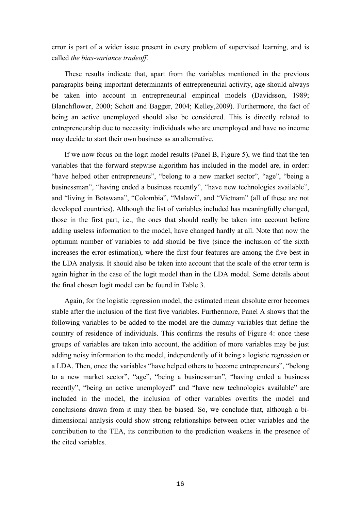error is part of a wider issue present in every problem of supervised learning, and is called *the bias-variance tradeoff*.

These results indicate that, apart from the variables mentioned in the previous paragraphs being important determinants of entrepreneurial activity, age should always be taken into account in entrepreneurial empirical models (Davidsson, 1989; Blanchflower, 2000; Schott and Bagger, 2004; Kelley,2009). Furthermore, the fact of being an active unemployed should also be considered. This is directly related to entrepreneurship due to necessity: individuals who are unemployed and have no income may decide to start their own business as an alternative.

If we now focus on the logit model results (Panel B, Figure 5), we find that the ten variables that the forward stepwise algorithm has included in the model are, in order: "have helped other entrepreneurs", "belong to a new market sector", "age", "being a businessman", "having ended a business recently", "have new technologies available", and "living in Botswana", "Colombia", "Malawi", and "Vietnam" (all of these are not developed countries). Although the list of variables included has meaningfully changed, those in the first part, i.e., the ones that should really be taken into account before adding useless information to the model, have changed hardly at all. Note that now the optimum number of variables to add should be five (since the inclusion of the sixth increases the error estimation), where the first four features are among the five best in the LDA analysis. It should also be taken into account that the scale of the error term is again higher in the case of the logit model than in the LDA model. Some details about the final chosen logit model can be found in Table 3.

Again, for the logistic regression model, the estimated mean absolute error becomes stable after the inclusion of the first five variables. Furthermore, Panel A shows that the following variables to be added to the model are the dummy variables that define the country of residence of individuals. This confirms the results of Figure 4: once these groups of variables are taken into account, the addition of more variables may be just adding noisy information to the model, independently of it being a logistic regression or a LDA. Then, once the variables "have helped others to become entrepreneurs", "belong to a new market sector", "age", "being a businessman", "having ended a business recently", "being an active unemployed" and "have new technologies available" are included in the model, the inclusion of other variables overfits the model and conclusions drawn from it may then be biased. So, we conclude that, although a bidimensional analysis could show strong relationships between other variables and the contribution to the TEA, its contribution to the prediction weakens in the presence of the cited variables.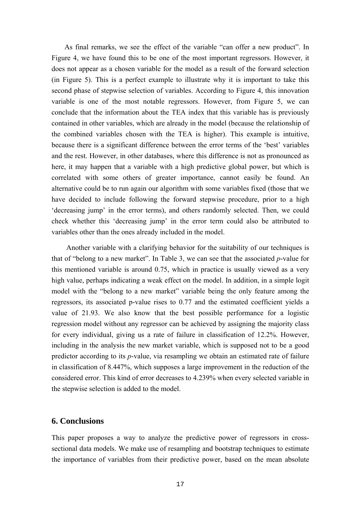As final remarks, we see the effect of the variable "can offer a new product". In Figure 4, we have found this to be one of the most important regressors. However, it does not appear as a chosen variable for the model as a result of the forward selection (in Figure 5). This is a perfect example to illustrate why it is important to take this second phase of stepwise selection of variables. According to Figure 4, this innovation variable is one of the most notable regressors. However, from Figure 5, we can conclude that the information about the TEA index that this variable has is previously contained in other variables, which are already in the model (because the relationship of the combined variables chosen with the TEA is higher). This example is intuitive, because there is a significant difference between the error terms of the 'best' variables and the rest. However, in other databases, where this difference is not as pronounced as here, it may happen that a variable with a high predictive global power, but which is correlated with some others of greater importance, cannot easily be found. An alternative could be to run again our algorithm with some variables fixed (those that we have decided to include following the forward stepwise procedure, prior to a high 'decreasing jump' in the error terms), and others randomly selected. Then, we could check whether this 'decreasing jump' in the error term could also be attributed to variables other than the ones already included in the model.

 Another variable with a clarifying behavior for the suitability of our techniques is that of "belong to a new market". In Table 3, we can see that the associated *p*-value for this mentioned variable is around 0.75, which in practice is usually viewed as a very high value, perhaps indicating a weak effect on the model. In addition, in a simple logit model with the "belong to a new market" variable being the only feature among the regressors, its associated p-value rises to 0.77 and the estimated coefficient yields a value of 21.93. We also know that the best possible performance for a logistic regression model without any regressor can be achieved by assigning the majority class for every individual, giving us a rate of failure in classification of 12.2%. However, including in the analysis the new market variable, which is supposed not to be a good predictor according to its *p*-value, via resampling we obtain an estimated rate of failure in classification of 8.447%, which supposes a large improvement in the reduction of the considered error. This kind of error decreases to 4.239% when every selected variable in the stepwise selection is added to the model.

#### **6. Conclusions**

This paper proposes a way to analyze the predictive power of regressors in crosssectional data models. We make use of resampling and bootstrap techniques to estimate the importance of variables from their predictive power, based on the mean absolute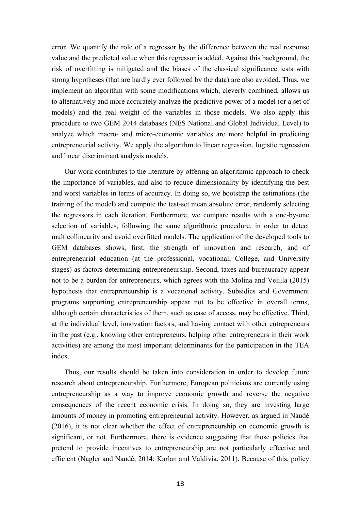error. We quantify the role of a regressor by the difference between the real response value and the predicted value when this regressor is added. Against this background, the risk of overfitting is mitigated and the biases of the classical significance tests with strong hypotheses (that are hardly ever followed by the data) are also avoided. Thus, we implement an algorithm with some modifications which, cleverly combined, allows us to alternatively and more accurately analyze the predictive power of a model (or a set of models) and the real weight of the variables in those models. We also apply this procedure to two GEM 2014 databases (NES National and Global Individual Level) to analyze which macro- and micro-economic variables are more helpful in predicting entrepreneurial activity. We apply the algorithm to linear regression, logistic regression and linear discriminant analysis models.

Our work contributes to the literature by offering an algorithmic approach to check the importance of variables, and also to reduce dimensionality by identifying the best and worst variables in terms of accuracy. In doing so, we bootstrap the estimations (the training of the model) and compute the test-set mean absolute error, randomly selecting the regressors in each iteration. Furthermore, we compare results with a one-by-one selection of variables, following the same algorithmic procedure, in order to detect multicollinearity and avoid overfitted models. The application of the developed tools to GEM databases shows, first, the strength of innovation and research, and of entrepreneurial education (at the professional, vocational, College, and University stages) as factors determining entrepreneurship. Second, taxes and bureaucracy appear not to be a burden for entrepreneurs, which agrees with the Molina and Velilla (2015) hypothesis that entrepreneurship is a vocational activity. Subsidies and Government programs supporting entrepreneurship appear not to be effective in overall terms, although certain characteristics of them, such as ease of access, may be effective. Third, at the individual level, innovation factors, and having contact with other entrepreneurs in the past (e.g., knowing other entrepreneurs, helping other entrepreneurs in their work activities) are among the most important determinants for the participation in the TEA index.

Thus, our results should be taken into consideration in order to develop future research about entrepreneurship. Furthermore, European politicians are currently using entrepreneurship as a way to improve economic growth and reverse the negative consequences of the recent economic crisis. In doing so, they are investing large amounts of money in promoting entrepreneurial activity. However, as argued in Naudé (2016), it is not clear whether the effect of entrepreneurship on economic growth is significant, or not. Furthermore, there is evidence suggesting that those policies that pretend to provide incentives to entrepreneurship are not particularly effective and efficient (Nagler and Naudé, 2014; Karlan and Valdivia, 2011). Because of this, policy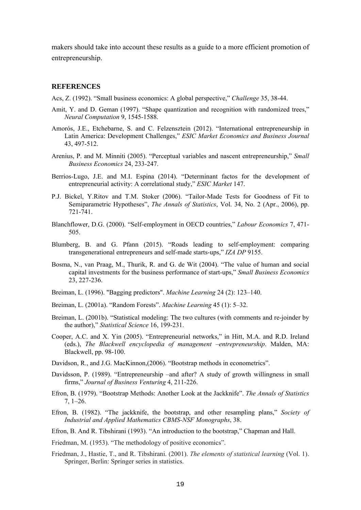makers should take into account these results as a guide to a more efficient promotion of entrepreneurship.

#### **REFERENCES**

Acs, Z. (1992). "Small business economics: A global perspective," *Challenge* 35, 38-44.

- Amit, Y. and D. Geman (1997). "Shape quantization and recognition with randomized trees," *Neural Computation* 9, 1545-1588.
- Amorós, J.E., Etchebarne, S. and C. Felzensztein (2012). "International entrepreneurship in Latin America: Development Challenges," *ESIC Market Economics and Business Journal* 43, 497-512.
- Arenius, P. and M. Minniti (2005). "Perceptual variables and nascent entrepreneurship," *Small Business Economics* 24, 233-247.
- Berrios-Lugo, J.E. and M.I. Espina (2014). "Determinant factos for the development of entrepreneurial activity: A correlational study," *ESIC Market* 147.
- P.J. Bickel, Y.Ritov and T.M. Stoker (2006). "Tailor-Made Tests for Goodness of Fit to Semiparametric Hypotheses", *The Annals of Statistics*, Vol. 34, No. 2 (Apr., 2006), pp. 721-741.
- Blanchflower, D.G. (2000). "Self-employment in OECD countries," *Labour Economics* 7, 471- 505.
- Blumberg, B. and G. Pfann (2015). "Roads leading to self-employment: comparing transgenerational entrepreneurs and self-made starts-ups," *IZA DP* 9155.
- Bosma, N., van Praag, M., Thurik, R. and G. de Wit (2004). "The value of human and social capital investments for the business performance of start-ups," *Small Business Economics* 23, 227-236.
- Breiman, L. (1996). "Bagging predictors". *Machine Learning* 24 (2): 123–140.
- Breiman, L. (2001a). "Random Forests". *Machine Learning* 45 (1): 5–32.
- Breiman, L. (2001b). "Statistical modeling: The two cultures (with comments and re-joinder by the author)," *Statistical Science* 16, 199-231.
- Cooper, A.C. and X. Yin (2005). "Entrepreneurial networks," in Hitt, M.A. and R.D. Ireland (eds.), *The Blackwell encyclopedia of management –entrepreneurship*. Malden, MA: Blackwell, pp. 98-100.
- Davidson, R., and J.G. MacKinnon,(2006). "Bootstrap methods in econometrics".
- Davidsson, P. (1989). "Entrepreneurship –and after? A study of growth willingness in small firms," *Journal of Business Venturing* 4, 211-226.
- Efron, B. (1979). "Bootstrap Methods: Another Look at the Jackknife". *The Annals of Statistics* 7, 1–26.
- Efron, B. (1982). "The jackknife, the bootstrap, and other resampling plans," *Society of Industrial and Applied Mathematics CBMS-NSF Monographs*, 38.
- Efron, B. And R. Tibshirani (1993). "An introduction to the bootstrap," Chapman and Hall.
- Friedman, M. (1953). "The methodology of positive economics".
- Friedman, J., Hastie, T., and R. Tibshirani. (2001). *The elements of statistical learning* (Vol. 1). Springer, Berlin: Springer series in statistics.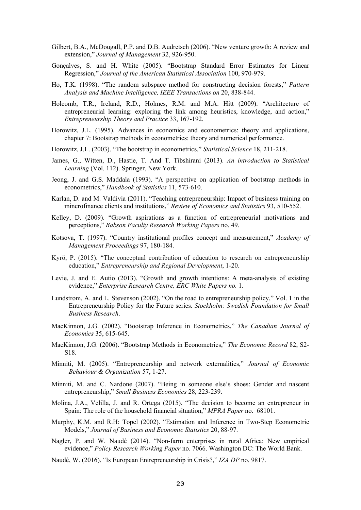- Gilbert, B.A., McDougall, P.P. and D.B. Audretsch (2006). "New venture growth: A review and extension," *Journal of Management* 32, 926-950.
- Gonçalves, S. and H. White (2005). "Bootstrap Standard Error Estimates for Linear Regression," *Journal of the American Statistical Association* 100, 970-979.
- Ho, T.K. (1998). "The random subspace method for constructing decision forests," *Pattern Analysis and Machine Intelligence, IEEE Transactions on* 20, 838-844.
- Holcomb, T.R., Ireland, R.D., Holmes, R.M. and M.A. Hitt (2009). "Architecture of entrepreneurial learning: exploring the link among heuristics, knowledge, and action," *Entrepreneurship Theory and Practice* 33, 167-192.
- Horowitz, J.L. (1995). Advances in economics and econometrics: theory and applications, chapter 7: Bootstrap methods in econometrics: theory and numerical performance.
- Horowitz, J.L. (2003). "The bootstrap in econometrics," *Statistical Science* 18, 211-218.
- James, G., Witten, D., Hastie, T. And T. Tibshirani (2013). *An introduction to Statistical Learning* (Vol. 112). Springer, New York.
- Jeong, J. and G.S. Maddala (1993). "A perspective on application of bootstrap methods in econometrics," *Handbook of Statistics* 11, 573-610.
- Karlan, D. and M. Valdivia (2011). "Teaching entrepreneurship: Impact of business training on mincrofinance clients and institutions," *Review of Economics and Statistics* 93, 510-552.
- Kelley, D. (2009). "Growth aspirations as a function of entrepreneurial motivations and perceptions," *Babson Faculty Research Working Papers* no. 49.
- Kotsova, T. (1997). "Country institutional profiles concept and measurement," *Academy of Management Proceedings* 97, 180-184.
- Kyrö, P. (2015). "The conceptual contribution of education to research on entrepreneurship education," *Entrepreneurship and Regional Development*, 1-20.
- Levie, J. and E. Autio (2013). "Growth and growth intentions: A meta-analysis of existing evidence," *Enterprise Research Centre, ERC White Papers no.* 1.
- Lundstrom, A. and L. Stevenson (2002). "On the road to entrepreneurship policy," Vol. 1 in the Entrepreneurship Policy for the Future series. *Stockholm: Swedish Foundation for Small Business Research*.
- MacKinnon, J.G. (2002). "Bootstrap Inference in Econometrics," *The Canadian Journal of Economics* 35, 615-645.
- MacKinnon, J.G. (2006). "Bootstrap Methods in Econometrics," *The Economic Record* 82, S2- S18.
- Minniti, M. (2005). "Entrepreneurship and network externalities," *Journal of Economic Behaviour & Organization* 57, 1-27.
- Minniti, M. and C. Nardone (2007). "Being in someone else's shoes: Gender and nascent entrepreneurship," *Small Business Economics* 28, 223-239.
- Molina, J.A., Velilla, J. and R. Ortega (2015). "The decision to become an entrepreneur in Spain: The role of the household financial situation," *MPRA Paper* no.68101.
- Murphy, K.M. and R.H: Topel (2002). "Estimation and Inference in Two-Step Econometric Models," *Journal of Business and Economic Statistics* 20, 88-97.
- Nagler, P. and W. Naudé (2014). "Non-farm enterprises in rural Africa: New empirical evidence," *Policy Research Working Paper* no. 7066. Washington DC: The World Bank.
- Naudé, W. (2016). "Is European Entrepreneurship in Crisis?," *IZA DP* no. 9817.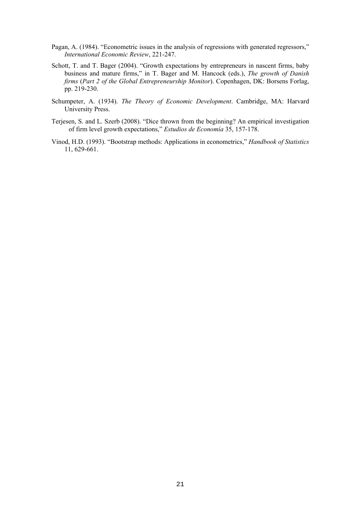- Pagan, A. (1984). "Econometric issues in the analysis of regressions with generated regressors," *International Economic Review*, 221-247.
- Schott, T. and T. Bager (2004). "Growth expectations by entrepreneurs in nascent firms, baby business and mature firms," in T. Bager and M. Hancock (eds.), *The growth of Danish firms* (*Part 2 of the Global Entrepreneurship Monitor*). Copenhagen, DK: Borsens Forlag, pp. 219-230.
- Schumpeter, A. (1934). *The Theory of Economic Development*. Cambridge, MA: Harvard University Press.
- Terjesen, S. and L. Szerb (2008). "Dice thrown from the beginning? An empirical investigation of firm level growth expectations," *Estudios de Economía* 35, 157-178.
- Vinod, H.D. (1993). "Bootstrap methods: Applications in econometrics," *Handbook of Statistics* 11, 629-661.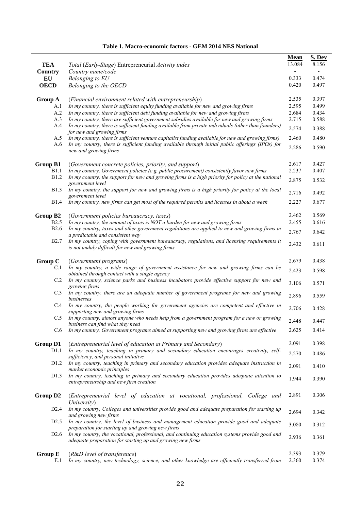#### **Table 1. Macro-economic factors - GEM 2014 NES National**

|                      |                                                                                                                                                              | <b>Mean</b> | S. Dev |
|----------------------|--------------------------------------------------------------------------------------------------------------------------------------------------------------|-------------|--------|
| <b>TEA</b>           | Total (Early-Stage) Entrepreneurial Activity index                                                                                                           | 13.084      | 8.156  |
| Country              | Country name/code                                                                                                                                            | 0.333       | 0.474  |
| EU<br><b>OECD</b>    | Belonging to EU                                                                                                                                              | 0.420       | 0.497  |
|                      | Belonging to the OECD                                                                                                                                        |             |        |
| Group A              | (Financial environment related with entrepreneurship)                                                                                                        | 2.535       | 0.397  |
| A.1                  | In my country, there is sufficient equity funding available for new and growing firms                                                                        | 2.595       | 0.499  |
| A.2                  | In my country, there is sufficient debt funding available for new and growing firms                                                                          | 2.684       | 0.434  |
| A.3                  | In my country, there are sufficient government subsidies available for new and growing firms                                                                 | 2.715       | 0.588  |
| A.4                  | In my country, there is sufficient funding available from private individuals (other than founders)<br>for new and growing firms                             | 2.574       | 0.388  |
| A.5                  | In my country, there is sufficient venture capitalist funding available for new and growing firms)                                                           | 2.460       | 0.480  |
| A.6                  | In my country, there is sufficient funding available through initial public offerings (IPOs) for<br>new and growing firms                                    | 2.286       | 0.590  |
| <b>Group B1</b>      | (Government concrete policies, priority, and support)                                                                                                        | 2.617       | 0.427  |
| B1.1                 | In my country, Government policies (e g, public procurement) consistently favor new firms                                                                    | 2.237       | 0.407  |
| <b>B</b> 1.2         | In my country, the support for new and growing firms is a high priority for policy at the national<br>government level                                       | 2.875       | 0.532  |
| <b>B1.3</b>          | In my country, the support for new and growing firms is a high priority for policy at the local<br>government level                                          | 2.716       | 0.492  |
| <b>B</b> 1.4         | In my country, new firms can get most of the required permits and licenses in about a week                                                                   | 2.227       | 0.677  |
| Group B2             | (Government policies bureaucracy, taxes)                                                                                                                     | 2.462       | 0.569  |
| B2.5                 | In my country, the amount of taxes is NOT a burden for new and growing firms                                                                                 | 2.455       | 0.616  |
| <b>B2.6</b>          | In my country, taxes and other government regulations are applied to new and growing firms in<br>a predictable and consistent way                            | 2.767       | 0.642  |
| <b>B2.7</b>          | In my country, coping with government bureaucracy, regulations, and licensing requirements it<br>is not unduly difficult for new and growing firms           | 2.432       | 0.611  |
| Group C              | (Government programs)                                                                                                                                        | 2.679       | 0.438  |
| C.1                  | In my country, a wide range of government assistance for new and growing firms can be<br>obtained through contact with a single agency                       | 2.423       | 0.598  |
| C.2                  | In my country, science parks and business incubators provide effective support for new and<br>growing firms                                                  | 3.106       | 0.571  |
| C.3                  | In my country, there are an adequate number of government programs for new and growing<br>businesses                                                         | 2.896       | 0.559  |
| C.4                  | In my country, the people working for government agencies are competent and effective in<br>supporting new and growing firms                                 | 2.706       | 0.428  |
| C.5                  | In my country, almost anyone who needs help from a government program for a new or growing<br>business can find what they need                               | 2.448       | 0.447  |
| C.6                  | In my country, Government programs aimed at supporting new and growing firms are effective                                                                   | 2.625       | 0.414  |
| <b>Group D1</b>      | (Entrepreneurial level of education at Primary and Secondary)                                                                                                | 2.091       | 0.398  |
| D <sub>1.1</sub>     | In my country, teaching in primary and secondary education encourages creativity, self-                                                                      |             |        |
|                      | sufficiency, and personal initiative                                                                                                                         | 2.270       | 0.486  |
| D1.2                 | In my country, teaching in primary and secondary education provides adequate instruction in<br>market economic principles                                    | 2.091       | 0.410  |
| D <sub>1.3</sub>     | In my country, teaching in primary and secondary education provides adequate attention to<br>entrepreneurship and new firm creation                          | 1.944       | 0.390  |
| Group D <sub>2</sub> | (Entrepreneurial level of education at vocational, professional, College and<br>University)                                                                  | 2.891       | 0.306  |
| D2.4                 | In my country, Colleges and universities provide good and adequate preparation for starting up<br>and growing new firms                                      | 2.694       | 0.342  |
| D2.5                 | In my country, the level of business and management education provide good and adequate<br>preparation for starting up and growing new firms                 | 3.080       | 0.312  |
| D <sub>2.6</sub>     | In my country, the vocational, professional, and continuing education systems provide good and<br>adequate preparation for starting up and growing new firms | 2.936       | 0.361  |
| <b>Group E</b>       | (R&D level of transference)                                                                                                                                  | 2.393       | 0.379  |
|                      |                                                                                                                                                              |             |        |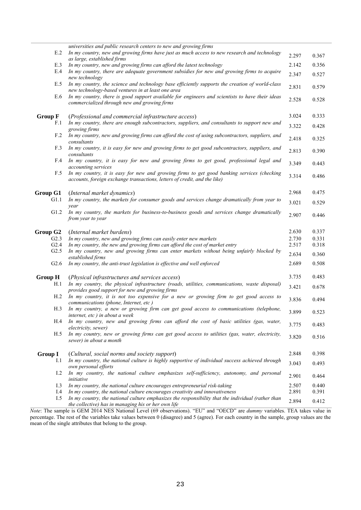|                       | universities and public research centers to new and growing firms                                                                                                                  |                |                |
|-----------------------|------------------------------------------------------------------------------------------------------------------------------------------------------------------------------------|----------------|----------------|
| E.2                   | In my country, new and growing firms have just as much access to new research and technology<br>as large, established firms                                                        | 2.297          | 0.367          |
| E.3                   | In my country, new and growing firms can afford the latest technology                                                                                                              | 2.142          | 0.356          |
| E.4                   | In my country, there are adequate government subsidies for new and growing firms to acquire<br>new technology                                                                      | 2.347          | 0.527          |
| E.5                   | In my country, the science and technology base efficiently supports the creation of world-class<br>new technology-based ventures in at least one area                              | 2.831          | 0.579          |
| E.6                   | In my country, there is good support available for engineers and scientists to have their ideas<br>commercialized through new and growing firms                                    | 2.528          | 0.528          |
| <b>Group F</b>        | (Professional and commercial infrastructure access)                                                                                                                                | 3.024          | 0.333          |
| F.1                   | In my country, there are enough subcontractors, suppliers, and consultants to support new and<br>growing firms                                                                     | 3.322          | 0.428          |
| F.2                   | In my country, new and growing firms can afford the cost of using subcontractors, suppliers, and<br>consultants                                                                    | 2.418          | 0.325          |
| F.3                   | In my country, it is easy for new and growing firms to get good subcontractors, suppliers, and<br>consultants                                                                      | 2.813          | 0.390          |
| F.4                   | In my country, it is easy for new and growing firms to get good, professional legal and<br>accounting services                                                                     | 3.349          | 0.443          |
| F.5                   | In my country, it is easy for new and growing firms to get good banking services (checking<br>accounts, foreign exchange transactions, letters of credit, and the like)            | 3.314          | 0.486          |
| Group G1              | (Internal market dynamics)                                                                                                                                                         | 2.968          | 0.475          |
| G1.1                  | In my country, the markets for consumer goods and services change dramatically from year to<br>vear                                                                                | 3.021          | 0.529          |
| G1.2                  | In my country, the markets for business-to-business goods and services change dramatically<br>from year to year                                                                    | 2.907          | 0.446          |
|                       |                                                                                                                                                                                    |                |                |
|                       |                                                                                                                                                                                    |                |                |
| Group G <sub>2</sub>  | (Internal market burdens)                                                                                                                                                          | 2.630          | 0.337          |
| G2.3<br>G2.4          | In my country, new and growing firms can easily enter new markets<br>In my country, the new and growing firms can afford the cost of market entry                                  | 2.730<br>2.517 | 0.331<br>0.318 |
| G2.5                  | In my country, new and growing firms can enter markets without being unfairly blocked by<br>established firms                                                                      | 2.634          | 0.360          |
| G2.6                  | In my country, the anti-trust legislation is effective and well enforced                                                                                                           | 2.689          | 0.508          |
|                       |                                                                                                                                                                                    |                |                |
| <b>Group H</b>        | (Physical infrastructures and services access)                                                                                                                                     | 3.735          | 0.483          |
| H.1                   | In my country, the physical infrastructure (roads, utilities, communications, waste disposal)<br>provides good support for new and growing firms                                   | 3.421          | 0.678          |
| H.2                   | In my country, it is not too expensive for a new or growing firm to get good access to<br>communications (phone, Internet, etc)                                                    | 3.836          | 0.494          |
| H.3                   | In my country, a new or growing firm can get good access to communications (telephone,<br>internet, etc) in about a week                                                           | 3.899          | 0.523          |
| H.4                   | In my country, new and growing firms can afford the cost of basic utilities (gas, water,<br>electricity, sewer)                                                                    | 3.775          | 0.483          |
| H.5                   | In my country, new or growing firms can get good access to utilities (gas, water, electricity,<br>sewer) in about a month                                                          | 3.820          | 0.516          |
|                       |                                                                                                                                                                                    |                |                |
| <b>Group I</b><br>I.1 | (Cultural, social norms and society support)<br>In my country, the national culture is highly supportive of individual success achieved through                                    | 2.848          | 0.398          |
|                       | own personal efforts                                                                                                                                                               | 3.043          | 0.493          |
| 1.2                   | In my country, the national culture emphasizes self-sufficiency, autonomy, and personal<br>initiative                                                                              | 2.901          | 0.464          |
| I.3                   | In my country, the national culture encourages entrepreneurial risk-taking                                                                                                         | 2.507          | 0.440          |
| I.4<br>I.5            | In my country, the national culture encourages creativity and innovativeness<br>In my country, the national culture emphasizes the responsibility that the individual (rather than | 2.891<br>2.894 | 0.391<br>0.412 |

*Note*: The sample is GEM 2014 NES National Level (69 observations). "EU" and "OECD" are *dummy* variables. TEA takes value in percentage. The rest of the variables take values between 0 (disagree) and 5 (agree). For each country in the sample, group values are the mean of the single attributes that belong to the group.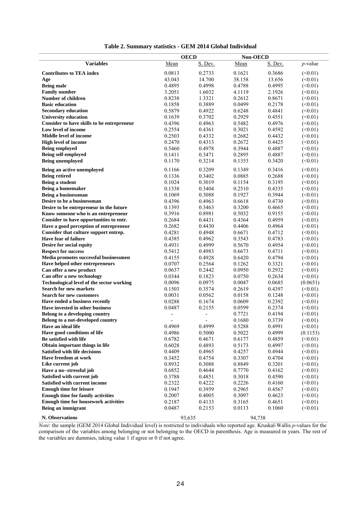|                                                  | <b>OECD</b>              |                          | Non-OECD |         |               |
|--------------------------------------------------|--------------------------|--------------------------|----------|---------|---------------|
| <b>Variables</b>                                 | Mean                     | S. Dev.                  | Mean     | S. Dev. | $p$ -value    |
|                                                  |                          |                          |          |         |               |
| <b>Contributes to TEA index</b>                  | 0.0813                   | 0.2733                   | 0.1621   | 0.3686  | (<0.01)       |
| Age                                              | 43.043                   | 14.700                   | 38.158   | 13.656  | (<0.01)       |
| <b>Being male</b>                                | 0.4895                   | 0.4998                   | 0.4788   | 0.4995  | (<0.01)       |
| <b>Family number</b>                             | 3.2051                   | 1.6032                   | 4.1119   | 2.1926  | (<0.01)       |
| <b>Number of children</b>                        | 0.8238                   | 1.3321                   | 0.2612   | 0.8671  | (<0.01)       |
| <b>Basic education</b>                           | 0.1858                   | 0.3889                   | 0.0499   | 0.2178  | (<0.01)       |
| <b>Secondary education</b>                       | 0.5879                   | 0.4922                   | 0.6248   | 0.4841  | (<0.01)       |
| <b>University education</b>                      | 0.1639                   | 0.3702                   | 0.2929   | 0.4551  | (<0.01)       |
| Consider to have skills to be entrepreneur       | 0.4396                   | 0.4963                   | 0.5482   | 0.4976  | (<0.01)       |
| Low level of income                              | 0.2554                   | 0.4361                   | 0.3021   | 0.4592  | (<0.01)       |
| <b>Middle level of income</b>                    | 0.2503                   | 0.4332                   | 0.2682   | 0.4432  | (<0.01)       |
| <b>High level of income</b>                      | 0.2470                   | 0.4313                   | 0.2672   | 0.4425  | (<0.01)       |
| <b>Being employed</b>                            | 0.5460                   | 0.4978                   | 0.3944   | 0.4887  | (<0.01)       |
| Being self-employed                              | 0.1411                   | 0.3471                   | 0.2895   | 0.4887  | (<0.01)       |
| <b>Being unemployed</b>                          | 0.1170                   | 0.3214                   | 0.1353   | 0.3420  | (<0.01)       |
| Being an active unemployed                       | 0.1166                   | 0.3209                   | 0.1349   | 0.3416  | (<0.01)       |
| <b>Being retired</b>                             | 0.1336                   | 0.3402                   | 0.0885   | 0.2688  | (<0.01)       |
| Being a student                                  | 0.1024                   | 0.3019                   | 0.1154   | 0.3195  | (<0.01)       |
| Being a homemaker                                | 0.1338                   | 0.3404                   | 0.2510   | 0.4335  | (<0.01)       |
| Being a businessman                              | 0.1069                   | 0.3088                   | 0.1927   | 0.3944  | (<0.01)       |
| Desire to be a businessman                       | 0.4396                   | 0.4963                   | 0.6618   | 0.4730  | (<0.01)       |
| Desire to be entrepreneur in the future          | 0.1393                   | 0.3463                   | 0.3200   | 0.4665  | (<0.01)       |
| Know someone who is an entrepreneur              | 0.3916                   | 0.8981                   | 0.5032   | 0.9155  | (<0.01)       |
| Consider to have opportunities to entr.          | 0.2684                   | 0.4431                   | 0.4364   | 0.4959  | (<0.01)       |
| Have a good perception of entrepreneur           | 0.2682                   | 0.4430                   | 0.4406   | 0.4964  | (<0.01)       |
| Consider that culture support entrep.            | 0.4281                   | 0.4948                   | 0.6671   | 0.4712  | (<0.01)       |
| Have fear of failure                             | 0.4385                   | 0.4962                   | 0.3543   | 0.4783  | (<0.01)       |
| Desire for social equity                         | 0.4931                   | 0.4999                   | 0.5670   | 0.4954  | (<0.01)       |
| <b>Respect for success</b>                       | 0.5412                   | 0.4983                   | 0.6673   | 0.4711  | (<0.01)       |
| Media promotes successful businessmen            | 0.4155                   | 0.4928                   | 0.6420   | 0.4794  | (<0.01)       |
| Have helped other entrepreneurs                  | 0.0707                   | 0.2564                   | 0.1262   | 0.3321  | (<0.01)       |
| Can offer a new product                          | 0.0637                   | 0.2442                   | 0.0950   | 0.2932  | (<0.01)       |
| Can offer a new technology                       | 0.0344                   | 0.1823                   | 0.0750   | 0.2634  | (<0.01)       |
| <b>Technological level of the sector working</b> | 0.0096                   | 0.0975                   | 0.0047   | 0.0685  | (0.0651)      |
| <b>Search for new markets</b>                    | 0.1503                   | 0.3574                   | 0.2619   | 0.4397  | (<0.01)       |
| <b>Search for new customers</b>                  | 0.0031                   | 0.0562                   | 0.0158   | 0.1248  | (<0.01)       |
| Have ended a business recently                   | 0.0288                   | 0.1674                   | 0.0609   | 0.2392  | (<0.01)       |
| Have invested in other business                  | 0.0487                   | 0.2155                   | 0.0599   | 0.2374  | (<0.01)       |
| Belong to a developing country                   | ÷                        |                          | 0.7721   | 0.4194  | (<0.01)       |
| Belong to a not-developed country                | $\overline{\phantom{a}}$ | $\overline{\phantom{a}}$ | 0.1680   | 0.3739  | (<0.01)       |
| Have an ideal life                               | 0.4969                   | 0.4999                   | 0.5288   | 0.4991  | $($ <0.01)    |
| Have good conditions of life                     | 0.4986                   | 0.5000                   | 0.5022   | 0.4999  | (0.1153)      |
| Be satisfied with life                           | 0.6782                   | 0.4671                   | 0.6177   | 0.4859  | (<0.01)       |
| Obtain important things in life                  | 0.6028                   | 0.4893                   | 0.5173   | 0.4997  | (<0.01)       |
| <b>Satisfied with life decisions</b>             | 0.4409                   | 0.4965                   | 0.4257   | 0.4944  | (<0.01)       |
| <b>Have freedom at work</b>                      | 0.3452                   | 0.4754                   | 0.3307   | 0.4704  | $(\leq 0.01)$ |
| Like current job                                 | 0.8932                   | 0.3088                   | 0.8849   | 0.3201  | (<0.01)       |
| Have a no--stressful job                         | 0.6852                   | 0.4644                   | 0.7770   | 0.4162  | (<0.01)       |
| Satisfied with current job                       | 0.3788                   | 0.4851                   | 0.3018   | 0.4590  | (<0.01)       |
| Satisfied with current income                    | 0.2322                   | 0.4222                   | 0.2226   | 0.4160  | (<0.01)       |
| <b>Enough time for leisure</b>                   | 0.1947                   | 0.3959                   | 0.2965   | 0.4567  | $(\leq 0.01)$ |
| <b>Enough time for family activities</b>         | 0.2007                   | 0.4005                   | 0.3097   | 0.4623  | (<0.01)       |
| <b>Enough time for housework activities</b>      | 0.2187                   | 0.4133                   | 0.3165   | 0.4651  | (<0.01)       |
| Being an immigrant                               | 0.0487                   | 0.2153                   | 0.0113   | 0.1060  | (<0.01)       |
|                                                  |                          |                          |          |         |               |
| N. Observations                                  | 93,635                   |                          | 94,738   |         |               |

#### **Table 2. Summary statistics - GEM 2014 Global Individual**

*Note*: the sample (GEM 2014 Global Individual level) is restricted to individuals who reported age. Kruskal-Wallis *p*-values for the comparison of the variables among belonging or not belonging to the OECD in parenthesis. Age is measured in years. The rest of the variables are dummies, taking value 1 if agree or 0 if not agree.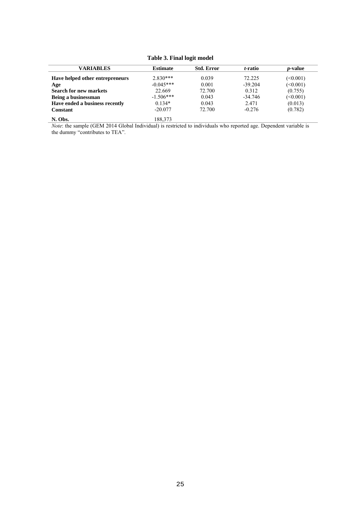**Table 3. Final logit model** 

| <b>VARIABLES</b>                | <b>Estimate</b> | <b>Std. Error</b> | t-ratio   | <i>p</i> -value |
|---------------------------------|-----------------|-------------------|-----------|-----------------|
| Have helped other entrepreneurs | $2.830***$      | 0.039             | 72.225    | (0.001)         |
| Age                             | $-0.045***$     | 0.001             | $-39.204$ | $(\leq 0.001)$  |
| <b>Search for new markets</b>   | 22.669          | 72.700            | 0.312     | (0.755)         |
| Being a businessman             | $-1.506***$     | 0.043             | $-34.746$ | (<0.001)        |
| Have ended a business recently  | $0.134*$        | 0.043             | 2.471     | (0.013)         |
| Constant                        | $-20.077$       | 72.700            | $-0.276$  | (0.782)         |
| N. Obs.                         | 188,373         |                   |           |                 |

*Note*: the sample (GEM 2014 Global Individual) is restricted to individuals who reported age. Dependent variable is the dummy "contributes to TEA".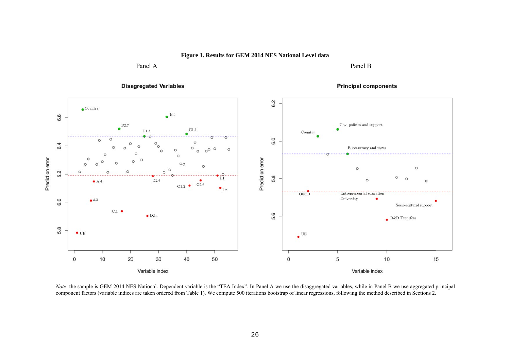**Figure 1. Results for GEM 2014 NES National Level data** 

Panel A Panel B Panel B



*Note*: the sample is GEM 2014 NES National. Dependent variable is the "TEA Index". In Panel A we use the disaggregated variables, while in Panel B we use aggregated principal component factors (variable indices are taken ordered from Table 1). We compute 500 iterations bootstrap of linear regressions, following the method described in Sections 2.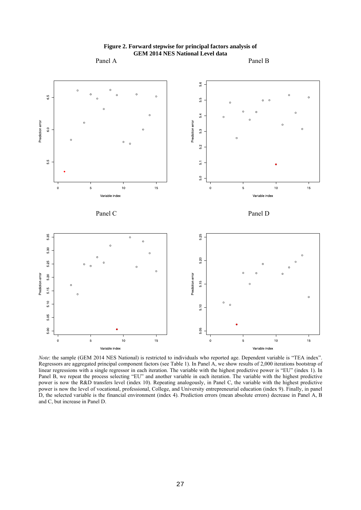

**Figure 2. Forward stepwise for principal factors analysis of GEM 2014 NES National Level data**

*Note*: the sample (GEM 2014 NES National) is restricted to individuals who reported age. Dependent variable is "TEA index". Regressors are aggregated principal component factors (see Table 1). In Panel A, we show results of 2,000 iterations bootstrap of linear regressions with a single regressor in each iteration. The variable with the highest predictive power is "EU" (index 1). In Panel B, we repeat the process selecting "EU" and another variable in each iteration. The variable with the highest predictive power is now the R&D transfers level (index 10). Repeating analogously, in Panel C, the variable with the highest predictive power is now the level of vocational, professional, College, and University entrepreneurial education (index 9). Finally, in panel D, the selected variable is the financial environment (index 4). Prediction errors (mean absolute errors) decrease in Panel A, B and C, but increase in Panel D.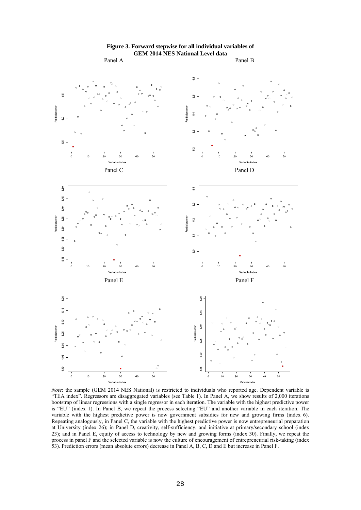

### **Figure 3. Forward stepwise for all individual variables of GEM 2014 NES National Level data**

*Note*: the sample (GEM 2014 NES National) is restricted to individuals who reported age. Dependent variable is "TEA index". Regressors are disaggregated variables (see Table 1). In Panel A, we show results of 2,000 iterations bootstrap of linear regressions with a single regressor in each iteration. The variable with the highest predictive power is "EU" (index 1). In Panel B, we repeat the process selecting "EU" and another variable in each iteration. The variable with the highest predictive power is now government subsidies for new and growing firms (index 6). Repeating analogously, in Panel C, the variable with the highest predictive power is now entrepreneurial preparation at University (index 26); in Panel D, creativity, self-sufficiency, and initiative at primary/secondary school (index 23); and in Panel E, equity of access to technology by new and growing forms (index 30). Finally, we repeat the process in panel F and the selected variable is now the culture of encouragement of entrepreneurial risk-taking (index 53). Prediction errors (mean absolute errors) decrease in Panel A, B, C, D and E but increase in Panel F.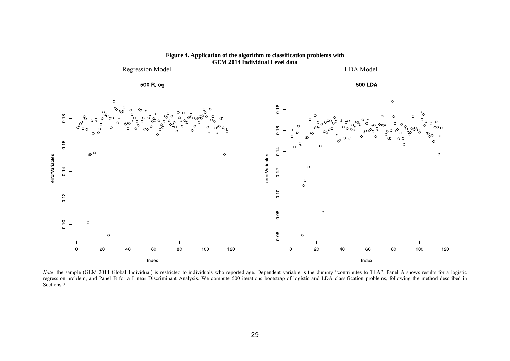

**Figure 4. Application of the algorithm to classification problems with GEM 2014 Individual Level data** 

*Note*: the sample (GEM 2014 Global Individual) is restricted to individuals who reported age. Dependent variable is the dummy "contributes to TEA". Panel A shows results for a logistic regression problem, and Panel B for a Linear Discriminant Analysis. We compute 500 iterations bootstrap of logistic and LDA classification problems, following the method described in Sections 2.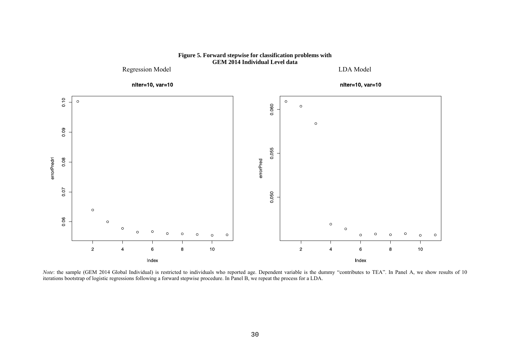

**Figure 5. Forward stepwise for classification problems with GEM 2014 Individual Level data** 

*Note*: the sample (GEM 2014 Global Individual) is restricted to individuals who reported age. Dependent variable is the dummy "contributes to TEA". In Panel A, we show results of 10 iterations bootstrap of logistic regressions following a forward stepwise procedure. In Panel B, we repeat the process for a LDA.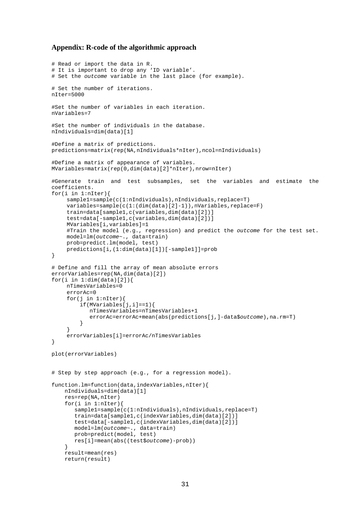#### **Appendix: R-code of the algorithmic approach**

```
# Read or import the data in R. 
# It is important to drop any 'ID variable'. 
# Set the outcome variable in the last place (for example). 
# Set the number of iterations. 
nIter=5000 
#Set the number of variables in each iteration. 
nVariables=7 
#Set the number of individuals in the database. 
nIndividuals=dim(data)[1] 
#Define a matrix of predictions. 
predictions=matrix(rep(NA,nIndividuals*nIter),ncol=nIndividuals) 
#Define a matrix of appearance of variables. 
MVariables=matrix(rep(0,dim(data)[2]*nIter),nrow=nIter) 
#Generate train and test subsamples, set the variables and estimate the 
coefficients. 
for(i in 1:nIter) {
     sample1=sample(c(1:nIndividuals),nIndividuals,replace=T) 
     variables=sample(c(1:(dim(data)[2]-1)),nVariables,replace=F) 
     train=data[sample1,c(variables,dim(data)[2])] 
     test=data[-sample1,c(variables,dim(data)[2])] 
     MVariables[i,variables]=1 
      #Train the model (e.g., regression) and predict the outcome for the test set. 
     model=lm(outcome~., data=train) 
     prob=predict.lm(model, test) 
     predictions[i,(1:dim(data)[1])[-sample1]]=prob 
} 
# Define and fill the array of mean absolute errors 
errorVariables=rep(NA,dim(data)[2]) 
for(i in 1:dim(data)[2]){
     nTimesVariables=0 
     errorAc=0 
    for(j in 1:nIter){
          if(MVariables[j,i]==1){ 
             nTimesVariables=nTimesVariables+1 
             errorAc=errorAc+mean(abs(predictions[j,]-data$outcome),na.rm=T) 
    } 
      } 
     errorVariables[i]=errorAc/nTimesVariables 
} 
plot(errorVariables) 
# Step by step approach (e.g., for a regression model). 
function.lm=function(data,indexVariables,nIter){ 
     nIndividuals=dim(data)[1] 
     res=rep(NA,nIter) 
     for(i in 1:nIter){ 
        sample1=sample(c(1:nIndividuals),nIndividuals,replace=T) 
        train=data[sample1,c(indexVariables,dim(data)[2])] 
        test=data[-sample1,c(indexVariables,dim(data)[2])] 
 model=lm(outcome~., data=train) 
 prob=predict(model, test) 
        res[i]=mean(abs((test$outcome)-prob)) 
     } 
     result=mean(res) 
     return(result)
```